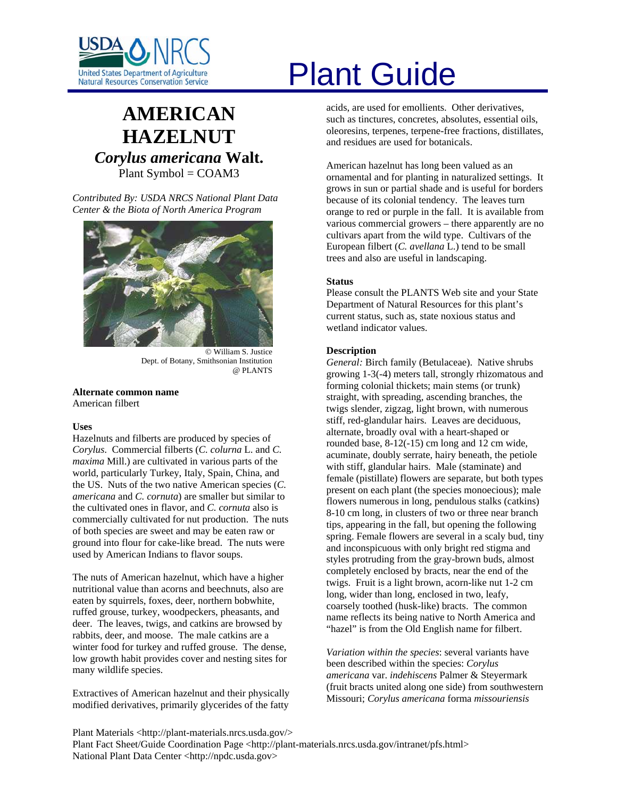

# **AMERICAN HAZELNUT** *Corylus americana* **Walt.** Plant Symbol = COAM3

*Contributed By: USDA NRCS National Plant Data Center & the Biota of North America Program* 



© William S. Justice Dept. of Botany, Smithsonian Institution @ PLANTS

**Alternate common name**  American filbert

# **Uses**

Hazelnuts and filberts are produced by species of *Corylus*. Commercial filberts (*C. colurna* L. and *C. maxima* Mill.) are cultivated in various parts of the world, particularly Turkey, Italy, Spain, China, and the US. Nuts of the two native American species (*C. americana* and *C. cornuta*) are smaller but similar to the cultivated ones in flavor, and *C. cornuta* also is commercially cultivated for nut production. The nuts of both species are sweet and may be eaten raw or ground into flour for cake-like bread. The nuts were used by American Indians to flavor soups.

The nuts of American hazelnut, which have a higher nutritional value than acorns and beechnuts, also are eaten by squirrels, foxes, deer, northern bobwhite, ruffed grouse, turkey, woodpeckers, pheasants, and deer. The leaves, twigs, and catkins are browsed by rabbits, deer, and moose. The male catkins are a winter food for turkey and ruffed grouse. The dense, low growth habit provides cover and nesting sites for many wildlife species.

Extractives of American hazelnut and their physically modified derivatives, primarily glycerides of the fatty

# United States Department of Agriculture<br>Natural Resources Conservation Service

acids, are used for emollients. Other derivatives, such as tinctures, concretes, absolutes, essential oils, oleoresins, terpenes, terpene-free fractions, distillates, and residues are used for botanicals.

American hazelnut has long been valued as an ornamental and for planting in naturalized settings. It grows in sun or partial shade and is useful for borders because of its colonial tendency. The leaves turn orange to red or purple in the fall. It is available from various commercial growers – there apparently are no cultivars apart from the wild type. Cultivars of the European filbert (*C. avellana* L.) tend to be small trees and also are useful in landscaping.

### **Status**

Please consult the PLANTS Web site and your State Department of Natural Resources for this plant's current status, such as, state noxious status and wetland indicator values.

# **Description**

*General:* Birch family (Betulaceae). Native shrubs growing 1-3(-4) meters tall, strongly rhizomatous and forming colonial thickets; main stems (or trunk) straight, with spreading, ascending branches, the twigs slender, zigzag, light brown, with numerous stiff, red-glandular hairs. Leaves are deciduous, alternate, broadly oval with a heart-shaped or rounded base, 8-12(-15) cm long and 12 cm wide, acuminate, doubly serrate, hairy beneath, the petiole with stiff, glandular hairs. Male (staminate) and female (pistillate) flowers are separate, but both types present on each plant (the species monoecious); male flowers numerous in long, pendulous stalks (catkins) 8-10 cm long, in clusters of two or three near branch tips, appearing in the fall, but opening the following spring. Female flowers are several in a scaly bud, tiny and inconspicuous with only bright red stigma and styles protruding from the gray-brown buds, almost completely enclosed by bracts, near the end of the twigs. Fruit is a light brown, acorn-like nut 1-2 cm long, wider than long, enclosed in two, leafy, coarsely toothed (husk-like) bracts. The common name reflects its being native to North America and "hazel" is from the Old English name for filbert.

*Variation within the species*: several variants have been described within the species: *Corylus americana* var. *indehiscens* Palmer & Steyermark (fruit bracts united along one side) from southwestern Missouri; *Corylus americana* forma *missouriensis*

Plant Materials <http://plant-materials.nrcs.usda.gov/> Plant Fact Sheet/Guide Coordination Page <http://plant-materials.nrcs.usda.gov/intranet/pfs.html> National Plant Data Center <http://npdc.usda.gov>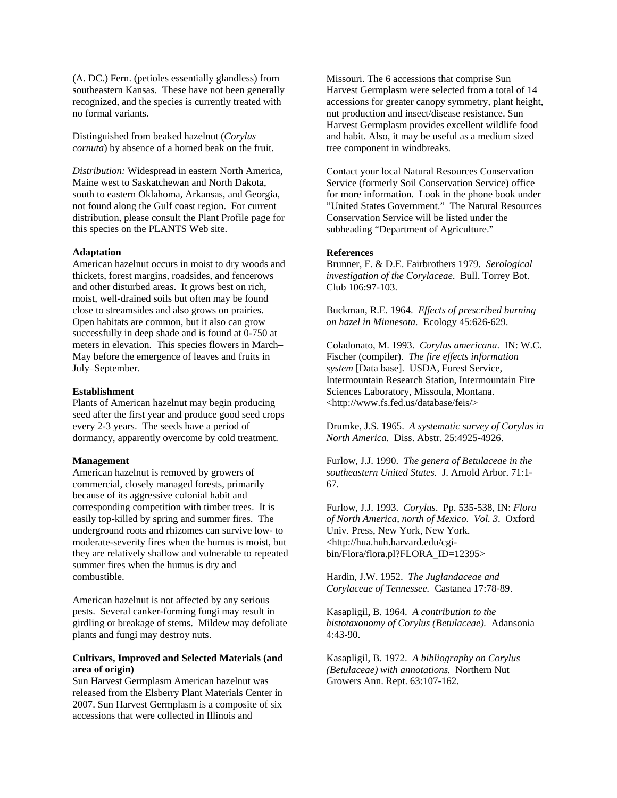(A. DC.) Fern. (petioles essentially glandless) from southeastern Kansas. These have not been generally recognized, and the species is currently treated with no formal variants.

Distinguished from beaked hazelnut (*Corylus cornuta*) by absence of a horned beak on the fruit.

*Distribution:* Widespread in eastern North America, Maine west to Saskatchewan and North Dakota, south to eastern Oklahoma, Arkansas, and Georgia, not found along the Gulf coast region. For current distribution, please consult the Plant Profile page for this species on the PLANTS Web site.

#### **Adaptation**

American hazelnut occurs in moist to dry woods and thickets, forest margins, roadsides, and fencerows and other disturbed areas. It grows best on rich, moist, well-drained soils but often may be found close to streamsides and also grows on prairies. Open habitats are common, but it also can grow successfully in deep shade and is found at 0-750 at meters in elevation. This species flowers in March– May before the emergence of leaves and fruits in July–September.

#### **Establishment**

Plants of American hazelnut may begin producing seed after the first year and produce good seed crops every 2-3 years. The seeds have a period of dormancy, apparently overcome by cold treatment.

#### **Management**

American hazelnut is removed by growers of commercial, closely managed forests, primarily because of its aggressive colonial habit and corresponding competition with timber trees. It is easily top-killed by spring and summer fires. The underground roots and rhizomes can survive low- to moderate-severity fires when the humus is moist, but they are relatively shallow and vulnerable to repeated summer fires when the humus is dry and combustible.

American hazelnut is not affected by any serious pests. Several canker-forming fungi may result in girdling or breakage of stems. Mildew may defoliate plants and fungi may destroy nuts.

# **Cultivars, Improved and Selected Materials (and area of origin)**

Sun Harvest Germplasm American hazelnut was released from the Elsberry Plant Materials Center in 2007. Sun Harvest Germplasm is a composite of six accessions that were collected in Illinois and

Missouri. The 6 accessions that comprise Sun Harvest Germplasm were selected from a total of 14 accessions for greater canopy symmetry, plant height, nut production and insect/disease resistance. Sun Harvest Germplasm provides excellent wildlife food and habit. Also, it may be useful as a medium sized tree component in windbreaks.

Contact your local Natural Resources Conservation Service (formerly Soil Conservation Service) office for more information. Look in the phone book under "United States Government." The Natural Resources Conservation Service will be listed under the subheading "Department of Agriculture."

#### **References**

Brunner, F. & D.E. Fairbrothers 1979. *Serological investigation of the Corylaceae*. Bull. Torrey Bot. Club 106:97-103.

Buckman, R.E. 1964. *Effects of prescribed burning on hazel in Minnesota.* Ecology 45:626-629.

Coladonato, M. 1993. *Corylus americana*. IN: W.C. Fischer (compiler). *The fire effects information system* [Data base]. USDA, Forest Service, Intermountain Research Station, Intermountain Fire Sciences Laboratory, Missoula, Montana. <http://www.fs.fed.us/database/feis/>

Drumke, J.S. 1965. *A systematic survey of Corylus in North America.* Diss. Abstr. 25:4925-4926.

Furlow, J.J. 1990. *The genera of Betulaceae in the southeastern United States.* J. Arnold Arbor. 71:1- 67.

Furlow, J.J. 1993. *Corylus*. Pp. 535-538, IN: *Flora of North America, north of Mexico*. *Vol. 3*. Oxford Univ. Press, New York, New York. <http://hua.huh.harvard.edu/cgibin/Flora/flora.pl?FLORA\_ID=12395>

Hardin, J.W. 1952. *The Juglandaceae and Corylaceae of Tennessee.* Castanea 17:78-89.

Kasapligil, B. 1964. *A contribution to the histotaxonomy of Corylus (Betulaceae).* Adansonia 4:43-90.

Kasapligil, B. 1972. *A bibliography on Corylus (Betulaceae) with annotations.* Northern Nut Growers Ann. Rept. 63:107-162.